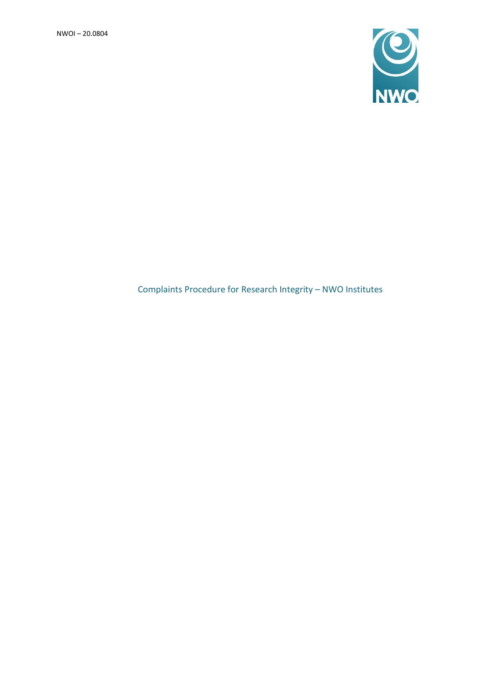

# Complaints Procedure for Research Integrity – NWO Institutes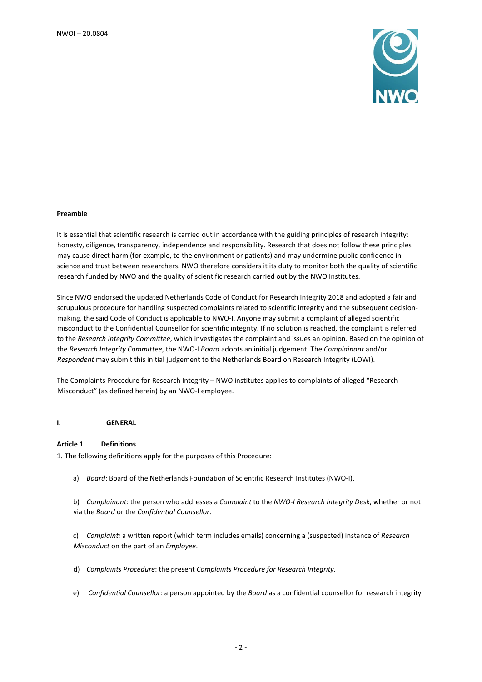

#### **Preamble**

It is essential that scientific research is carried out in accordance with the guiding principles of research integrity: honesty, diligence, transparency, independence and responsibility. Research that does not follow these principles may cause direct harm (for example, to the environment or patients) and may undermine public confidence in science and trust between researchers. NWO therefore considers it its duty to monitor both the quality of scientific research funded by NWO and the quality of scientific research carried out by the NWO Institutes.

Since NWO endorsed the updated Netherlands Code of Conduct for Research Integrity 2018 and adopted a fair and scrupulous procedure for handling suspected complaints related to scientific integrity and the subsequent decisionmaking, the said Code of Conduct is applicable to NWO-I. Anyone may submit a complaint of alleged scientific misconduct to the Confidential Counsellor for scientific integrity. If no solution is reached, the complaint is referred to the *Research Integrity Committee*, which investigates the complaint and issues an opinion. Based on the opinion of the *Research Integrity Committee*, the NWO-I *Board* adopts an initial judgement. The *Complainant* and/or *Respondent* may submit this initial judgement to the Netherlands Board on Research Integrity (LOWI).

The Complaints Procedure for Research Integrity – NWO institutes applies to complaints of alleged "Research Misconduct" (as defined herein) by an NWO-I employee.

#### **I. GENERAL**

#### **Article 1 Definitions**

1. The following definitions apply for the purposes of this Procedure:

a) *Board*: Board of the Netherlands Foundation of Scientific Research Institutes (NWO-I).

b) *Complainant:* the person who addresses a *Complaint* to the *NWO-I Research Integrity Desk*, whether or not via the *Board* or the *Confidential Counsellor*.

c) *Complaint:* a written report (which term includes emails) concerning a (suspected) instance of *Research Misconduct* on the part of an *Employee*.

- d) *Complaints Procedure*: the present *Complaints Procedure for Research Integrity.*
- e) *Confidential Counsellor:* a person appointed by the *Board* as a confidential counsellor for research integrity*.*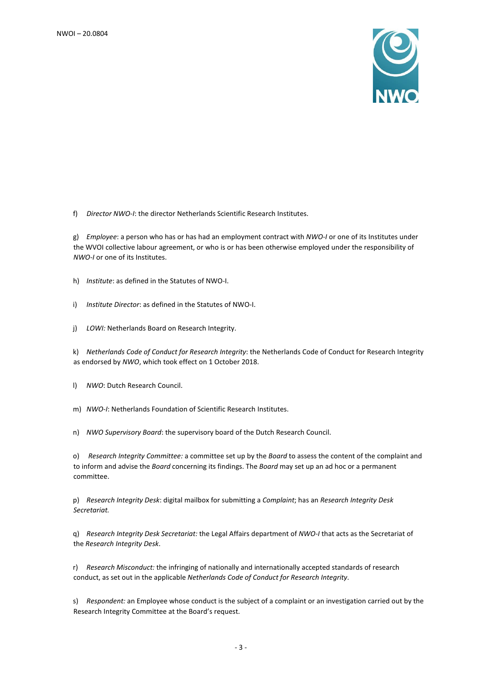

f) *Director NWO-I*: the director Netherlands Scientific Research Institutes.

g) *Employee*: a person who has or has had an employment contract with *NWO-I* or one of its Institutes under the WVOI collective labour agreement, or who is or has been otherwise employed under the responsibility of *NWO-I* or one of its Institutes.

h) *Institute*: as defined in the Statutes of NWO-I.

i) *Institute Director*: as defined in the Statutes of NWO-I.

j) *LOWI:* Netherlands Board on Research Integrity.

k) *Netherlands Code of Conduct for Research Integrity*: the Netherlands Code of Conduct for Research Integrity as endorsed by *NWO*, which took effect on 1 October 2018.

l) *NWO*: Dutch Research Council.

m) *NWO-I*: Netherlands Foundation of Scientific Research Institutes.

n) *NWO Supervisory Board*: the supervisory board of the Dutch Research Council.

o) *Research Integrity Committee:* a committee set up by the *Board* to assess the content of the complaint and to inform and advise the *Board* concerning its findings. The *Board* may set up an ad hoc or a permanent committee.

p) *Research Integrity Desk*: digital mailbox for submitting a *Complaint*; has an *Research Integrity Desk Secretariat.*

q) *Research Integrity Desk Secretariat:* the Legal Affairs department of *NWO-I* that acts as the Secretariat of the *Research Integrity Desk*.

r) *Research Misconduct:* the infringing of nationally and internationally accepted standards of research conduct, as set out in the applicable *Netherlands Code of Conduct for Research Integrity*.

s) *Respondent:* an Employee whose conduct is the subject of a complaint or an investigation carried out by the Research Integrity Committee at the Board's request.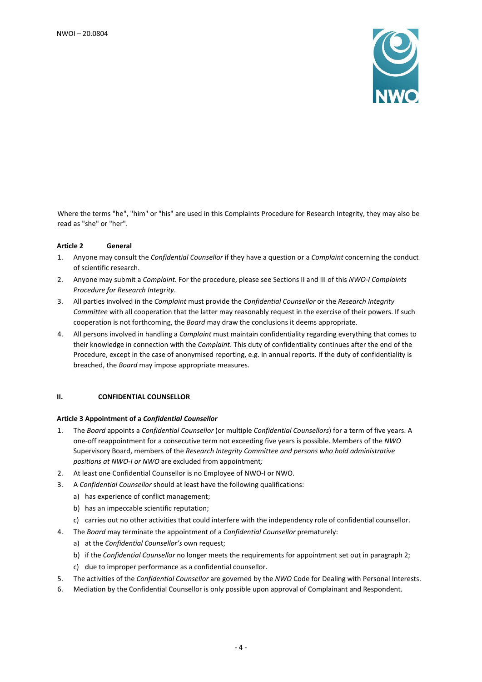

Where the terms "he", "him" or "his" are used in this Complaints Procedure for Research Integrity, they may also be read as "she" or "her".

## **Article 2 General**

- 1. Anyone may consult the *Confidential Counsellor* if they have a question or a *Complaint* concerning the conduct of scientific research.
- 2. Anyone may submit a *Complaint*. For the procedure, please see Sections II and III of this *NWO-I Complaints Procedure for Research Integrity*.
- 3. All parties involved in the *Complaint* must provide the *Confidential Counsellor* or the *Research Integrity Committee* with all cooperation that the latter may reasonably request in the exercise of their powers. If such cooperation is not forthcoming, the *Board* may draw the conclusions it deems appropriate.
- 4. All persons involved in handling a *Complaint* must maintain confidentiality regarding everything that comes to their knowledge in connection with the *Complaint*. This duty of confidentiality continues after the end of the Procedure, except in the case of anonymised reporting, e.g. in annual reports. If the duty of confidentiality is breached, the *Board* may impose appropriate measures.

## **II. CONFIDENTIAL COUNSELLOR**

#### **Article 3 Appointment of a** *Confidential Counsellor*

- 1. The *Board* appoints a *Confidential Counsellor* (or multiple *Confidential Counsellors*) for a term of five years. A one-off reappointment for a consecutive term not exceeding five years is possible. Members of the *NWO* Supervisory Board, members of the *Research Integrity Committee and persons who hold administrative positions at NWO-I or NWO* are excluded from appointment*;*
- 2. At least one Confidential Counsellor is no Employee of NWO-I or NWO.
- 3. A *Confidential Counsellor* should at least have the following qualifications:
	- a) has experience of conflict management;
	- b) has an impeccable scientific reputation;
	- c) carries out no other activities that could interfere with the independency role of confidential counsellor.
- 4. The *Board* may terminate the appointment of a *Confidential Counsellor* prematurely:
	- a) at the *Confidential Counsellor's* own request;
	- b) if the *Confidential Counsellor* no longer meets the requirements for appointment set out in paragraph 2;
	- c) due to improper performance as a confidential counsellor.
- 5. The activities of the *Confidential Counsellor* are governed by the *NWO* Code for Dealing with Personal Interests.
- 6. Mediation by the Confidential Counsellor is only possible upon approval of Complainant and Respondent.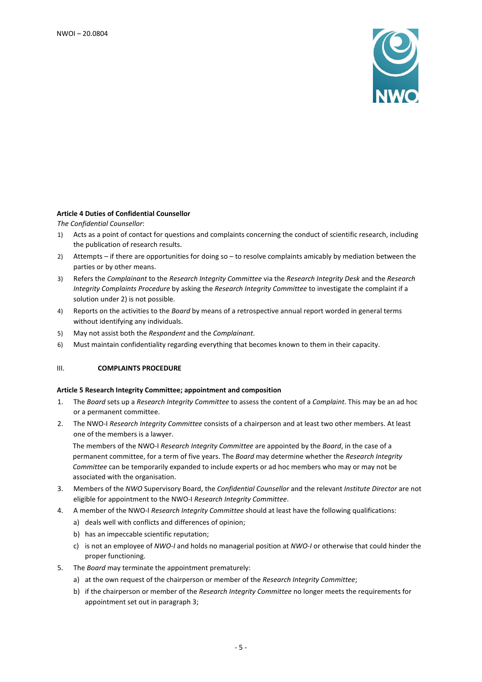

# **Article 4 Duties of Confidential Counsellor**

*The Confidential Counsellor*:

- 1) Acts as a point of contact for questions and complaints concerning the conduct of scientific research, including the publication of research results.
- 2) Attempts if there are opportunities for doing so to resolve complaints amicably by mediation between the parties or by other means.
- 3) Refers the *Complainant* to the *Research Integrity Committee* via the *Research Integrity Desk* and the *Research Integrity Complaints Procedure* by asking the *Research Integrity Committee* to investigate the complaint if a solution under 2) is not possible.
- 4) Reports on the activities to the *Board* by means of a retrospective annual report worded in general terms without identifying any individuals.
- 5) May not assist both the *Respondent* and the *Complainant*.
- 6) Must maintain confidentiality regarding everything that becomes known to them in their capacity.

#### III. **COMPLAINTS PROCEDURE**

#### **Article 5 Research Integrity Committee; appointment and composition**

- 1. The *Board* sets up a *Research Integrity Committee* to assess the content of a *Complaint*. This may be an ad hoc or a permanent committee.
- 2. The NWO-I *Research Integrity Committee* consists of a chairperson and at least two other members. At least one of the members is a lawyer.

The members of the NWO-I *Research Integrity Committee* are appointed by the *Board*, in the case of a permanent committee, for a term of five years. The *Board* may determine whether the *Research Integrity Committee* can be temporarily expanded to include experts or ad hoc members who may or may not be associated with the organisation.

- 3. Members of the *NWO* Supervisory Board, the *Confidential Counsellor* and the relevant *Institute Director* are not eligible for appointment to the NWO-I *Research Integrity Committee*.
- 4. A member of the NWO-I *Research Integrity Committee* should at least have the following qualifications:
	- a) deals well with conflicts and differences of opinion;
	- b) has an impeccable scientific reputation;
	- c) is not an employee of *NWO-I* and holds no managerial position at *NWO-I* or otherwise that could hinder the proper functioning.
- 5. The *Board* may terminate the appointment prematurely:
	- a) at the own request of the chairperson or member of the *Research Integrity Committee*;
	- b) if the chairperson or member of the *Research Integrity Committee* no longer meets the requirements for appointment set out in paragraph 3;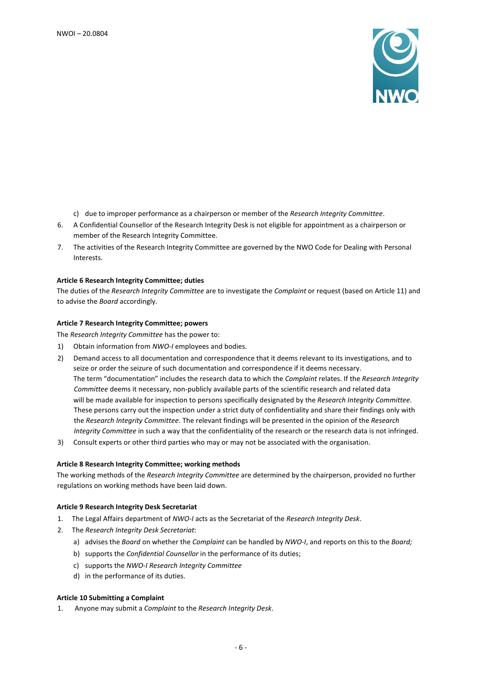

- c) due to improper performance as a chairperson or member of the *Research Integrity Committee*.
- 6. A Confidential Counsellor of the Research Integrity Desk is not eligible for appointment as a chairperson or member of the Research Integrity Committee.
- 7. The activities of the Research Integrity Committee are governed by the NWO Code for Dealing with Personal Interests.

#### **Article 6 Research Integrity Committee; duties**

The duties of the *Research Integrity Committee* are to investigate the *Complaint* or request (based on Article 11) and to advise the *Board* accordingly.

## **Article 7 Research Integrity Committee; powers**

The *Research Integrity Committee* has the power to:

- 1) Obtain information from *NWO-I* employees and bodies.
- 2) Demand access to all documentation and correspondence that it deems relevant to its investigations, and to seize or order the seizure of such documentation and correspondence if it deems necessary. The term "documentation" includes the research data to which the *Complaint* relates. If the *Research Integrity Committee* deems it necessary, non-publicly available parts of the scientific research and related data will be made available for inspection to persons specifically designated by the *Research Integrity Committee*. These persons carry out the inspection under a strict duty of confidentiality and share their findings only with the *Research Integrity Committee*. The relevant findings will be presented in the opinion of the *Research Integrity Committee* in such a way that the confidentiality of the research or the research data is not infringed.
- 3) Consult experts or other third parties who may or may not be associated with the organisation.

#### **Article 8 Research Integrity Committee; working methods**

The working methods of the *Research Integrity Committee* are determined by the chairperson, provided no further regulations on working methods have been laid down.

#### **Article 9 Research Integrity Desk Secretariat**

- 1. The Legal Affairs department of *NWO-I* acts as the Secretariat of the *Research Integrity Desk*.
- 2. The *Research Integrity Desk Secretariat*:
	- a) advises the *Board* on whether the *Complaint* can be handled by *NWO-I*, and reports on this to the *Board;*
	- b) supports the *Confidential Counsellor* in the performance of its duties;
	- c) supports the *NWO-I Research Integrity Committee*
	- d) in the performance of its duties.

#### **Article 10 Submitting a Complaint**

1. Anyone may submit a *Complaint* to the *Research Integrity Desk*.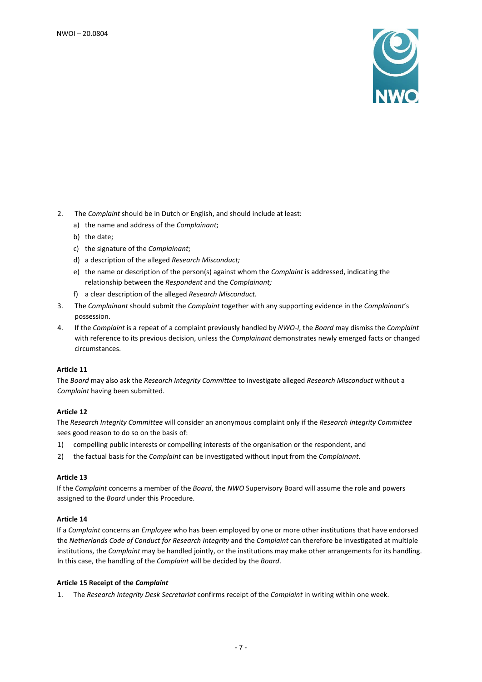

- 2. The *Complaint* should be in Dutch or English, and should include at least:
	- a) the name and address of the *Complainant*;
	- b) the date;
	- c) the signature of the *Complainant*;
	- d) a description of the alleged *Research Misconduct;*
	- e) the name or description of the person(s) against whom the *Complaint* is addressed, indicating the relationship between the *Respondent* and the *Complainant;*
	- f) a clear description of the alleged *Research Misconduct.*
- 3. The *Complainant* should submit the *Complaint* together with any supporting evidence in the *Complainant*'s possession.
- 4. If the *Complaint* is a repeat of a complaint previously handled by *NWO-I*, the *Board* may dismiss the *Complaint* with reference to its previous decision, unless the *Complainant* demonstrates newly emerged facts or changed circumstances.

#### **Article 11**

The *Board* may also ask the *Research Integrity Committee* to investigate alleged *Research Misconduct* without a *Complaint* having been submitted.

# **Article 12**

The *Research Integrity Committee* will consider an anonymous complaint only if the *Research Integrity Committee* sees good reason to do so on the basis of:

- 1) compelling public interests or compelling interests of the organisation or the respondent, and
- 2) the factual basis for the *Complaint* can be investigated without input from the *Complainant*.

#### **Article 13**

If the *Complaint* concerns a member of the *Board*, the *NWO* Supervisory Board will assume the role and powers assigned to the *Board* under this Procedure.

# **Article 14**

If a *Complaint* concerns an *Employee* who has been employed by one or more other institutions that have endorsed the *Netherlands Code of Conduct for Research Integrity* and the *Complaint* can therefore be investigated at multiple institutions, the *Complaint* may be handled jointly, or the institutions may make other arrangements for its handling. In this case, the handling of the *Complaint* will be decided by the *Board*.

#### **Article 15 Receipt of the** *Complaint*

1. The *Research Integrity Desk Secretariat* confirms receipt of the *Complaint* in writing within one week.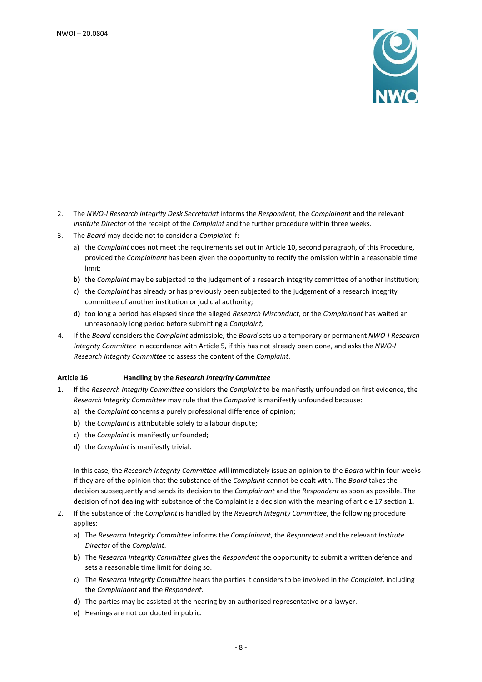

- 2. The *NWO-I Research Integrity Desk Secretariat* informs the *Respondent,* the *Complainant* and the relevant *Institute Director* of the receipt of the *Complaint* and the further procedure within three weeks.
- 3. The *Board* may decide not to consider a *Complaint* if:
	- a) the *Complaint* does not meet the requirements set out in Article 10, second paragraph, of this Procedure, provided the *Complainant* has been given the opportunity to rectify the omission within a reasonable time limit;
	- b) the *Complaint* may be subjected to the judgement of a research integrity committee of another institution;
	- c) the *Complaint* has already or has previously been subjected to the judgement of a research integrity committee of another institution or judicial authority;
	- d) too long a period has elapsed since the alleged *Research Misconduct*, or the *Complainant* has waited an unreasonably long period before submitting a *Complaint;*
- 4. If the *Board* considers the *Complaint* admissible, the *Board* sets up a temporary or permanent *NWO-I Research Integrity Committee* in accordance with Article 5, if this has not already been done, and asks the *NWO-I Research Integrity Committee* to assess the content of the *Complaint*.

# **Article 16 Handling by the** *Research Integrity Committee*

- 1. If the *Research Integrity Committee* considers the *Complaint* to be manifestly unfounded on first evidence, the *Research Integrity Committee* may rule that the *Complaint* is manifestly unfounded because:
	- a) the *Complaint* concerns a purely professional difference of opinion;
	- b) the *Complaint* is attributable solely to a labour dispute;
	- c) the *Complaint* is manifestly unfounded;
	- d) the *Complaint* is manifestly trivial.

In this case, the *Research Integrity Committee* will immediately issue an opinion to the *Board* within four weeks if they are of the opinion that the substance of the *Complaint* cannot be dealt with. The *Board* takes the decision subsequently and sends its decision to the *Complainant* and the *Respondent* as soon as possible. The decision of not dealing with substance of the Complaint is a decision with the meaning of article 17 section 1.

- 2. If the substance of the *Complaint* is handled by the *Research Integrity Committee*, the following procedure applies:
	- a) The *Research Integrity Committee* informs the *Complainant*, the *Respondent* and the relevant *Institute Director* of the *Complaint*.
	- b) The *Research Integrity Committee* gives the *Respondent* the opportunity to submit a written defence and sets a reasonable time limit for doing so.
	- c) The *Research Integrity Committee* hears the parties it considers to be involved in the *Complaint*, including the *Complainant* and the *Respondent*.
	- d) The parties may be assisted at the hearing by an authorised representative or a lawyer.
	- e) Hearings are not conducted in public.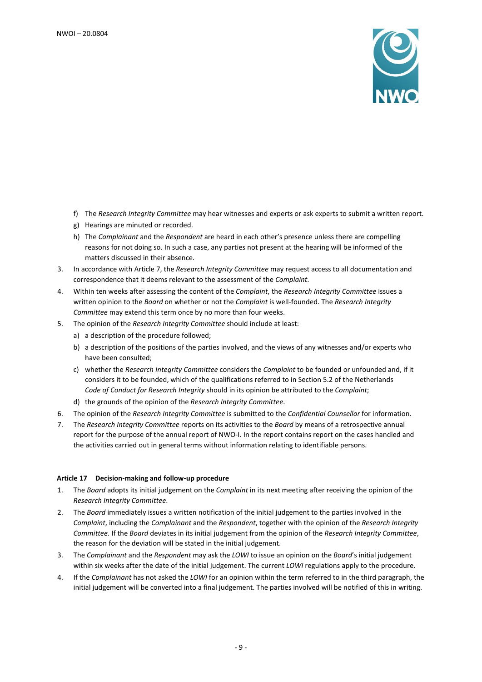

- f) The *Research Integrity Committee* may hear witnesses and experts or ask experts to submit a written report.
- g) Hearings are minuted or recorded.
- h) The *Complainant* and the *Respondent* are heard in each other's presence unless there are compelling reasons for not doing so. In such a case, any parties not present at the hearing will be informed of the matters discussed in their absence.
- 3. In accordance with Article 7, the *Research Integrity Committee* may request access to all documentation and correspondence that it deems relevant to the assessment of the *Complaint*.
- 4. Within ten weeks after assessing the content of the *Complaint*, the *Research Integrity Committee* issues a written opinion to the *Board* on whether or not the *Complaint* is well-founded. The *Research Integrity Committee* may extend this term once by no more than four weeks.
- 5. The opinion of the *Research Integrity Committee* should include at least:
	- a) a description of the procedure followed;
	- b) a description of the positions of the parties involved, and the views of any witnesses and/or experts who have been consulted;
	- c) whether the *Research Integrity Committee* considers the *Complaint* to be founded or unfounded and, if it considers it to be founded, which of the qualifications referred to in Section 5.2 of the Netherlands *Code of Conduct for Research Integrity* should in its opinion be attributed to the *Complaint*;
	- d) the grounds of the opinion of the *Research Integrity Committee*.
- 6. The opinion of the *Research Integrity Committee* is submitted to the *Confidential Counsellor* for information.
- 7. The *Research Integrity Committee* reports on its activities to the *Board* by means of a retrospective annual report for the purpose of the annual report of NWO-I. In the report contains report on the cases handled and the activities carried out in general terms without information relating to identifiable persons.

#### **Article 17 Decision-making and follow-up procedure**

- 1. The *Board* adopts its initial judgement on the *Complaint* in its next meeting after receiving the opinion of the *Research Integrity Committee*.
- 2. The *Board* immediately issues a written notification of the initial judgement to the parties involved in the *Complaint*, including the *Complainant* and the *Respondent*, together with the opinion of the *Research Integrity Committee*. If the *Board* deviates in its initial judgement from the opinion of the *Research Integrity Committee*, the reason for the deviation will be stated in the initial judgement.
- 3. The *Complainant* and the *Respondent* may ask the *LOWI* to issue an opinion on the *Board*'s initial judgement within six weeks after the date of the initial judgement. The current *LOWI* regulations apply to the procedure.
- 4. If the *Complainant* has not asked the *LOWI* for an opinion within the term referred to in the third paragraph, the initial judgement will be converted into a final judgement. The parties involved will be notified of this in writing.